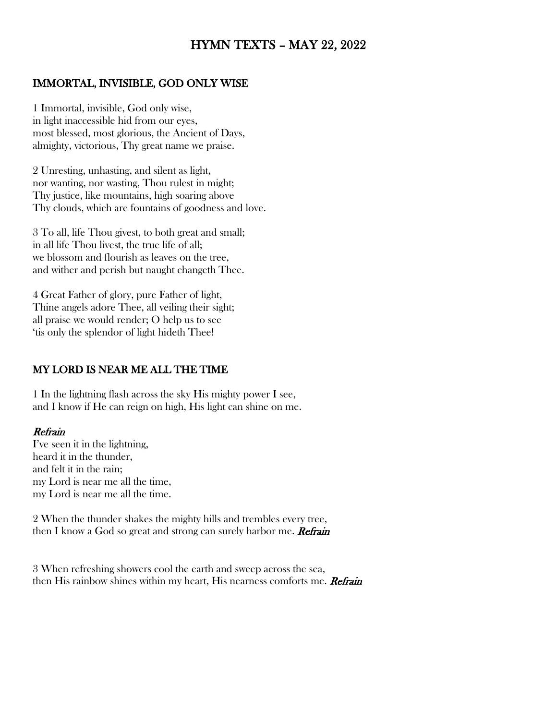# HYMN TEXTS – MAY 22, 2022

### IMMORTAL, INVISIBLE, GOD ONLY WISE

1 Immortal, invisible, God only wise, in light inaccessible hid from our eyes, most blessed, most glorious, the Ancient of Days, almighty, victorious, Thy great name we praise.

2 Unresting, unhasting, and silent as light, nor wanting, nor wasting, Thou rulest in might; Thy justice, like mountains, high soaring above Thy clouds, which are fountains of goodness and love.

3 To all, life Thou givest, to both great and small; in all life Thou livest, the true life of all; we blossom and flourish as leaves on the tree, and wither and perish but naught changeth Thee.

4 Great Father of glory, pure Father of light, Thine angels adore Thee, all veiling their sight; all praise we would render; O help us to see 'tis only the splendor of light hideth Thee!

#### MY LORD IS NEAR ME ALL THE TIME

1 In the lightning flash across the sky His mighty power I see, and I know if He can reign on high, His light can shine on me.

#### Refrain

I've seen it in the lightning, heard it in the thunder, and felt it in the rain; my Lord is near me all the time, my Lord is near me all the time.

2 When the thunder shakes the mighty hills and trembles every tree, then I know a God so great and strong can surely harbor me. **Refrain** 

3 When refreshing showers cool the earth and sweep across the sea, then His rainbow shines within my heart, His nearness comforts me. Refrain